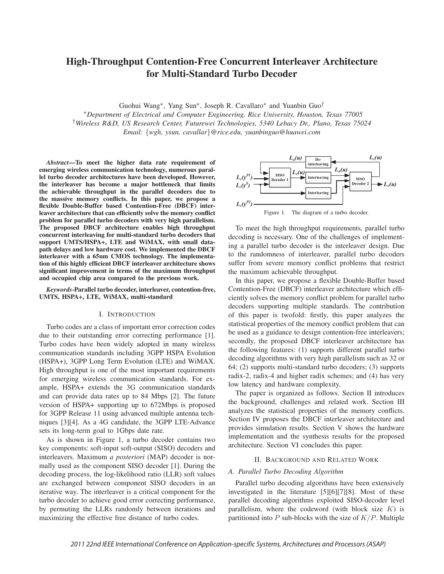# High-Throughput Contention-Free Concurrent Interleaver Architecture for Multi-Standard Turbo Decoder

Guohui Wang∗, Yang Sun∗, Joseph R. Cavallaro∗ and Yuanbin Guo†

∗*Department of Electrical and Computer Engineering, Rice University, Houston, Texas 77005* †*Wireless R&D, US Research Center, Futurewei Technologies, 5340 Lebacy Dr., Plano, Texas 75024 Email:* {*wgh, ysun, cavallar*}*@rice.edu, yuanbinguo@huawei.com*

*Abstract*—To meet the higher data rate requirement of emerging wireless communication technology, numerous parallel turbo decoder architectures have been developed. However, the interleaver has become a major bottleneck that limits the achievable throughput in the parallel decoders due to the massive memory conflicts. In this paper, we propose a flexible Double-Buffer based Contention-Free (DBCF) interleaver architecture that can efficiently solve the memory conflict problem for parallel turbo decoders with very high parallelism. The proposed DBCF architecture enables high throughput concurrent interleaving for multi-standard turbo decoders that support UMTS/HSPA+, LTE and WiMAX, with small datapath delays and low hardware cost. We implemented the DBCF interleaver with a 65nm CMOS technology. The implementation of this highly efficient DBCF interleaver architecture shows significant improvement in terms of the maximum throughput and occupied chip area compared to the previous work.

*Keywords*-Parallel turbo decoder, interleaver, contention-free, UMTS, HSPA+, LTE, WiMAX, multi-standard

# I. INTRODUCTION

Turbo codes are a class of important error correction codes due to their outstanding error correcting performance [1]. Turbo codes have been widely adopted in many wireless communication standards including 3GPP HSPA Evolution (HSPA+), 3GPP Long Term Evolution (LTE) and WiMAX. High throughput is one of the most important requirements for emerging wireless communication standards. For example, HSPA+ extends the 3G communication standards and can provide data rates up to 84 Mbps [2]. The future version of HSPA+ supporting up to 672Mbps is proposed for 3GPP Release 11 using advanced multiple antenna techniques [3][4]. As a 4G candidate, the 3GPP LTE-Advance sets its long-term goal to 1Gbps date rate.

As is shown in Figure 1, a turbo decoder contains two key components: soft-input soft-output (SISO) decoders and interleavers. Maximum *a posteriori* (MAP) decoder is normally used as the component SISO decoder [1]. During the decoding process, the log-likelihood ratio (LLR) soft values are exchanged between component SISO decoders in an iterative way. The interleaver is a critical component for the turbo decoder to achieve good error correcting performance, by permuting the LLRs randomly between iterations and maximizing the effective free distance of turbo codes.



To meet the high throughput requirements, parallel turbo decoding is necessary. One of the challenges of implementing a parallel turbo decoder is the interleaver design. Due to the randomness of interleaver, parallel turbo decoders suffer from severe memory conflict problems that restrict the maximum achievable throughput.

In this paper, we propose a flexible Double-Buffer based Contention-Free (DBCF) interleaver architecture which efficiently solves the memory conflict problem for parallel turbo decoders supporting multiple standards. The contribution of this paper is twofold: firstly, this paper analyzes the statistical properties of the memory conflict problem that can be used as a guidance to design contention-free interleavers; secondly, the proposed DBCF interleaver architecture has the following features: (1) supports different parallel turbo decoding algorithms with very high parallelism such as 32 or 64; (2) supports multi-standard turbo decoders; (3) supports radix-2, radix-4 and higher radix schemes; and (4) has very low latency and hardware complexity.

The paper is organized as follows. Section II introduces the background, challenges and related work. Section III analyzes the statistical properties of the memory conflicts. Section IV proposes the DBCF interleaver architecture and provides simulation results. Section V shows the hardware implementation and the synthesis results for the proposed architecture. Section VI concludes this paper.

# II. BACKGROUND AND RELATED WORK

# *A. Parallel Turbo Decoding Algorithm*

Parallel turbo decoding algorithms have been extensively investigated in the literature [5][6][7][8]. Most of these parallel decoding algorithms exploited SISO-decoder level parallelism, where the codeword (with block size  $K$ ) is partitioned into  $P$  sub-blocks with the size of  $K/P$ . Multiple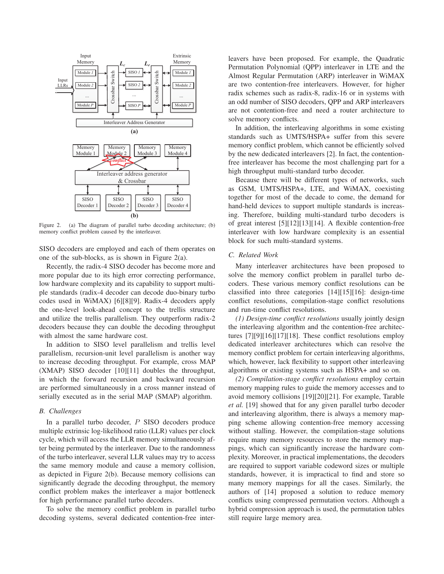

Figure 2. (a) The diagram of parallel turbo decoding architecture; (b) memory conflict problem caused by the interleaver.

SISO decoders are employed and each of them operates on one of the sub-blocks, as is shown in Figure 2(a).

Recently, the radix-4 SISO decoder has become more and more popular due to its high error correcting performance, low hardware complexity and its capability to support multiple standards (radix-4 decoder can decode duo-binary turbo codes used in WiMAX) [6][8][9]. Radix-4 decoders apply the one-level look-ahead concept to the trellis structure and utilize the trellis parallelism. They outperform radix-2 decoders because they can double the decoding throughput with almost the same hardware cost.

In addition to SISO level parallelism and trellis level parallelism, recursion-unit level parallelism is another way to increase decoding throughput. For example, cross MAP (XMAP) SISO decoder [10][11] doubles the throughput, in which the forward recursion and backward recursion are performed simultaneously in a cross manner instead of serially executed as in the serial MAP (SMAP) algorithm.

## *B. Challenges*

In a parallel turbo decoder, P SISO decoders produce multiple extrinsic log-likelihood ratio (LLR) values per clock cycle, which will access the LLR memory simultaneously after being permuted by the interleaver. Due to the randomness of the turbo interleaver, several LLR values may try to access the same memory module and cause a memory collision, as depicted in Figure 2(b). Because memory collisions can significantly degrade the decoding throughput, the memory conflict problem makes the interleaver a major bottleneck for high performance parallel turbo decoders.

To solve the memory conflict problem in parallel turbo decoding systems, several dedicated contention-free interleavers have been proposed. For example, the Quadratic Permutation Polynomial (QPP) interleaver in LTE and the Almost Regular Permutation (ARP) interleaver in WiMAX are two contention-free interleavers. However, for higher radix schemes such as radix-8, radix-16 or in systems with an odd number of SISO decoders, QPP and ARP interleavers are not contention-free and need a router architecture to solve memory conflicts.

In addition, the interleaving algorithms in some existing standards such as UMTS/HSPA+ suffer from this severe memory conflict problem, which cannot be efficiently solved by the new dedicated interleavers [2]. In fact, the contentionfree interleaver has become the most challenging part for a high throughput multi-standard turbo decoder.

Because there will be different types of networks, such as GSM, UMTS/HSPA+, LTE, and WiMAX, coexisting together for most of the decade to come, the demand for hand-held devices to support multiple standards is increasing. Therefore, building multi-standard turbo decoders is of great interest [5][12][13][14]. A flexible contention-free interleaver with low hardware complexity is an essential block for such multi-standard systems.

# *C. Related Work*

Many interleaver architectures have been proposed to solve the memory conflict problem in parallel turbo decoders. These various memory conflict resolutions can be classified into three categories [14][15][16]: design-time conflict resolutions, compilation-stage conflict resolutions and run-time conflict resolutions.

*(1) Design-time conflict resolutions* usually jointly design the interleaving algorithm and the contention-free architectures [7][9][16][17][18]. These conflict resolutions employ dedicated interleaver architectures which can resolve the memory conflict problem for certain interleaving algorithms, which, however, lack flexibility to support other interleaving algorithms or existing systems such as HSPA+ and so on.

*(2) Compilation-stage conflict resolutions* employ certain memory mapping rules to guide the memory accesses and to avoid memory collisions [19][20][21]. For example, Tarable *et al.* [19] showed that for any given parallel turbo decoder and interleaving algorithm, there is always a memory mapping scheme allowing contention-free memory accessing without stalling. However, the compilation-stage solutions require many memory resources to store the memory mappings, which can significantly increase the hardware complexity. Moreover, in practical implementations, the decoders are required to support variable codeword sizes or multiple standards, however, it is impractical to find and store so many memory mappings for all the cases. Similarly, the authors of [14] proposed a solution to reduce memory conflicts using compressed permutation vectors. Although a hybrid compression approach is used, the permutation tables still require large memory area.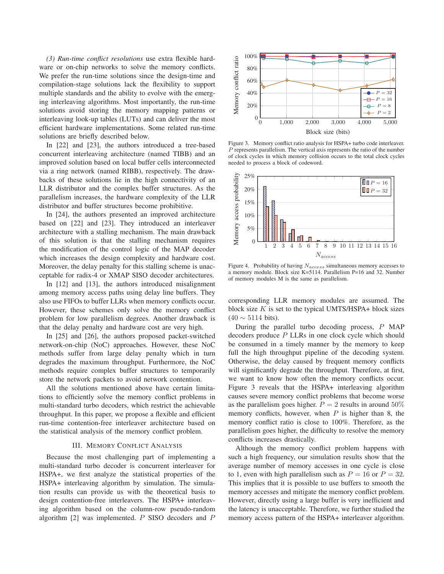*(3) Run-time conflict resolutions* use extra flexible hardware or on-chip networks to solve the memory conflicts. We prefer the run-time solutions since the design-time and compilation-stage solutions lack the flexibility to support multiple standards and the ability to evolve with the emerging interleaving algorithms. Most importantly, the run-time solutions avoid storing the memory mapping patterns or interleaving look-up tables (LUTs) and can deliver the most efficient hardware implementations. Some related run-time solutions are briefly described below.

In [22] and [23], the authors introduced a tree-based concurrent interleaving architecture (named TIBB) and an improved solution based on local buffer cells interconnected via a ring network (named RIBB), respectively. The drawbacks of these solutions lie in the high connectivity of an LLR distributor and the complex buffer structures. As the parallelism increases, the hardware complexity of the LLR distributor and buffer structures become prohibitive.

In [24], the authors presented an improved architecture based on [22] and [23]. They introduced an interleaver architecture with a stalling mechanism. The main drawback of this solution is that the stalling mechanism requires the modification of the control logic of the MAP decoder which increases the design complexity and hardware cost. Moreover, the delay penalty for this stalling scheme is unacceptable for radix-4 or XMAP SISO decoder architectures.

In [12] and [13], the authors introduced misalignment among memory access paths using delay line buffers. They also use FIFOs to buffer LLRs when memory conflicts occur. However, these schemes only solve the memory conflict problem for low parallelism degrees. Another drawback is that the delay penalty and hardware cost are very high.

In [25] and [26], the authors proposed packet-switched network-on-chip (NoC) approaches. However, these NoC methods suffer from large delay penalty which in turn degrades the maximum throughput. Furthermore, the NoC methods require complex buffer structures to temporarily store the network packets to avoid network contention.

All the solutions mentioned above have certain limitations to efficiently solve the memory conflict problems in multi-standard turbo decoders, which restrict the achievable throughput. In this paper, we propose a flexible and efficient run-time contention-free interleaver architecture based on the statistical analysis of the memory conflict problem.

# III. MEMORY CONFLICT ANALYSIS

Because the most challenging part of implementing a multi-standard turbo decoder is concurrent interleaver for HSPA+, we first analyze the statistical properties of the HSPA+ interleaving algorithm by simulation. The simulation results can provide us with the theoretical basis to design contention-free interleavers. The HSPA+ interleaving algorithm based on the column-row pseudo-random algorithm  $[2]$  was implemented. P SISO decoders and P



Figure 3. Memory conflict ratio analysis for HSPA+ turbo code interleaver. P represents parallelism. The vertical axis represents the ratio of the number of clock cycles in which memory collision occurs to the total clock cycles needed to process a block of codeword.



Figure 4. Probability of having  $N_{access}$  simultaneous memory accesses to a memory module. Block size K=5114. Parallelism P=16 and 32. Number of memory modules M is the same as parallelism.

corresponding LLR memory modules are assumed. The block size  $K$  is set to the typical UMTS/HSPA+ block sizes  $(40 \sim 5114$  bits).

During the parallel turbo decoding process, P MAP decoders produce P LLRs in one clock cycle which should be consumed in a timely manner by the memory to keep full the high throughput pipeline of the decoding system. Otherwise, the delay caused by frequent memory conflicts will significantly degrade the throughput. Therefore, at first, we want to know how often the memory conflicts occur. Figure 3 reveals that the HSPA+ interleaving algorithm causes severe memory conflict problems that become worse as the parallelism goes higher.  $P = 2$  results in around 50% memory conflicts, however, when  $P$  is higher than 8, the memory conflict ratio is close to 100%. Therefore, as the parallelism goes higher, the difficulty to resolve the memory conflicts increases drastically.

Although the memory conflict problem happens with such a high frequency, our simulation results show that the average number of memory accesses in one cycle is close to 1, even with high parallelism such as  $P = 16$  or  $P = 32$ . This implies that it is possible to use buffers to smooth the memory accesses and mitigate the memory conflict problem. However, directly using a large buffer is very inefficient and the latency is unacceptable. Therefore, we further studied the memory access pattern of the HSPA+ interleaver algorithm.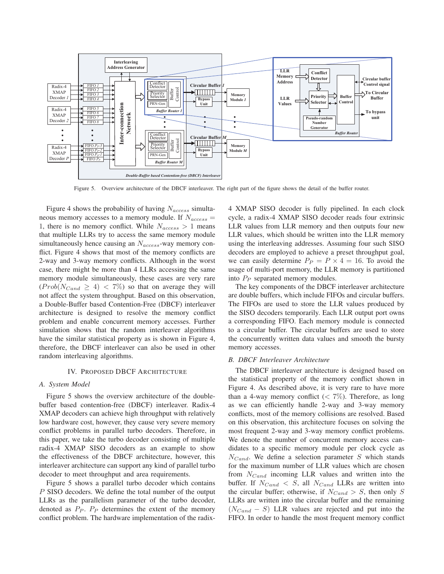

Figure 5. Overview architecture of the DBCF interleaver. The right part of the figure shows the detail of the buffer router.

Figure 4 shows the probability of having  $N_{access}$  simultaneous memory accesses to a memory module. If  $N_{access} =$ 1, there is no memory conflict. While  $N_{access} > 1$  means that multiple LLRs try to access the same memory module simultaneously hence causing an  $N_{access}$ -way memory conflict. Figure 4 shows that most of the memory conflicts are 2-way and 3-way memory conflicts. Although in the worst case, there might be more than 4 LLRs accessing the same memory module simultaneously, these cases are very rare  $(Prob(N_{Cand} \geq 4)$  < 7%) so that on average they will not affect the system throughput. Based on this observation, a Double-Buffer based Contention-Free (DBCF) interleaver architecture is designed to resolve the memory conflict problem and enable concurrent memory accesses. Further simulation shows that the random interleaver algorithms have the similar statistical property as is shown in Figure 4, therefore, the DBCF interleaver can also be used in other random interleaving algorithms.

#### IV. PROPOSED DBCF ARCHITECTURE

#### *A. System Model*

Figure 5 shows the overview architecture of the doublebuffer based contention-free (DBCF) interleaver. Radix-4 XMAP decoders can achieve high throughput with relatively low hardware cost, however, they cause very severe memory conflict problems in parallel turbo decoders. Therefore, in this paper, we take the turbo decoder consisting of multiple radix-4 XMAP SISO decoders as an example to show the effectiveness of the DBCF architecture, however, this interleaver architecture can support any kind of parallel turbo decoder to meet throughput and area requirements.

Figure 5 shows a parallel turbo decoder which contains P SISO decoders. We define the total number of the output LLRs as the parallelism parameter of the turbo decoder, denoted as  $P_P$ .  $P_P$  determines the extent of the memory conflict problem. The hardware implementation of the radix4 XMAP SISO decoder is fully pipelined. In each clock cycle, a radix-4 XMAP SISO decoder reads four extrinsic LLR values from LLR memory and then outputs four new LLR values, which should be written into the LLR memory using the interleaving addresses. Assuming four such SISO decoders are employed to achieve a preset throughput goal, we can easily determine  $P_P = P \times 4 = 16$ . To avoid the usage of multi-port memory, the LLR memory is partitioned into  $P_P$  separated memory modules.

The key components of the DBCF interleaver architecture are double buffers, which include FIFOs and circular buffers. The FIFOs are used to store the LLR values produced by the SISO decoders temporarily. Each LLR output port owns a corresponding FIFO. Each memory module is connected to a circular buffer. The circular buffers are used to store the concurrently written data values and smooth the bursty memory accesses.

# *B. DBCF Interleaver Architecture*

The DBCF interleaver architecture is designed based on the statistical property of the memory conflict shown in Figure 4. As described above, it is very rare to have more than a 4-way memory conflict ( $\lt 7\%$ ). Therefore, as long as we can efficiently handle 2-way and 3-way memory conflicts, most of the memory collisions are resolved. Based on this observation, this architecture focuses on solving the most frequent 2-way and 3-way memory conflict problems. We denote the number of concurrent memory access candidates to a specific memory module per clock cycle as  $N_{Cand}$ . We define a selection parameter S which stands for the maximum number of LLR values which are chosen from  $N_{Cand}$  incoming LLR values and written into the buffer. If  $N_{Cand} < S$ , all  $N_{Cand}$  LLRs are written into the circular buffer; otherwise, if  $N_{Cand} > S$ , then only S LLRs are written into the circular buffer and the remaining  $(N_{Cand} - S)$  LLR values are rejected and put into the FIFO. In order to handle the most frequent memory conflict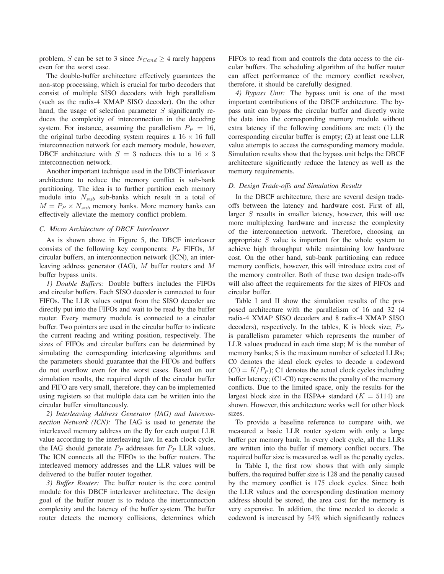problem, S can be set to 3 since  $N_{Cand} \geq 4$  rarely happens even for the worst case.

The double-buffer architecture effectively guarantees the non-stop processing, which is crucial for turbo decoders that consist of multiple SISO decoders with high parallelism (such as the radix-4 XMAP SISO decoder). On the other hand, the usage of selection parameter S significantly reduces the complexity of interconnection in the decoding system. For instance, assuming the parallelism  $P_P = 16$ , the original turbo decoding system requires a  $16 \times 16$  full interconnection network for each memory module, however, DBCF architecture with  $S = 3$  reduces this to a  $16 \times 3$ interconnection network.

Another important technique used in the DBCF interleaver architecture to reduce the memory conflict is sub-bank partitioning. The idea is to further partition each memory module into  $N_{sub}$  sub-banks which result in a total of  $M = P_P \times N_{sub}$  memory banks. More memory banks can effectively alleviate the memory conflict problem.

#### *C. Micro Architecture of DBCF Interleaver*

As is shown above in Figure 5, the DBCF interleaver consists of the following key components:  $P_P$  FIFOs, M circular buffers, an interconnection network (ICN), an interleaving address generator (IAG), M buffer routers and M buffer bypass units.

*1) Double Buffers:* Double buffers includes the FIFOs and circular buffers. Each SISO decoder is connected to four FIFOs. The LLR values output from the SISO decoder are directly put into the FIFOs and wait to be read by the buffer router. Every memory module is connected to a circular buffer. Two pointers are used in the circular buffer to indicate the current reading and writing position, respectively. The sizes of FIFOs and circular buffers can be determined by simulating the corresponding interleaving algorithms and the parameters should guarantee that the FIFOs and buffers do not overflow even for the worst cases. Based on our simulation results, the required depth of the circular buffer and FIFO are very small, therefore, they can be implemented using registers so that multiple data can be written into the circular buffer simultaneously.

*2) Interleaving Address Generator (IAG) and Interconnection Network (ICN):* The IAG is used to generate the interleaved memory address on the fly for each output LLR value according to the interleaving law. In each clock cycle, the IAG should generate  $P_P$  addresses for  $P_P$  LLR values. The ICN connects all the FIFOs to the buffer routers. The interleaved memory addresses and the LLR values will be delivered to the buffer router together.

*3) Buffer Router:* The buffer router is the core control module for this DBCF interleaver architecture. The design goal of the buffer router is to reduce the interconnection complexity and the latency of the buffer system. The buffer router detects the memory collisions, determines which FIFOs to read from and controls the data access to the circular buffers. The scheduling algorithm of the buffer router can affect performance of the memory conflict resolver, therefore, it should be carefully designed.

*4) Bypass Unit:* The bypass unit is one of the most important contributions of the DBCF architecture. The bypass unit can bypass the circular buffer and directly write the data into the corresponding memory module without extra latency if the following conditions are met: (1) the corresponding circular buffer is empty; (2) at least one LLR value attempts to access the corresponding memory module. Simulation results show that the bypass unit helps the DBCF architecture significantly reduce the latency as well as the memory requirements.

## *D. Design Trade-offs and Simulation Results*

In the DBCF architecture, there are several design tradeoffs between the latency and hardware cost. First of all, larger S results in smaller latency, however, this will use more multiplexing hardware and increase the complexity of the interconnection network. Therefore, choosing an appropriate  $S$  value is important for the whole system to achieve high throughput while maintaining low hardware cost. On the other hand, sub-bank partitioning can reduce memory conflicts, however, this will introduce extra cost of the memory controller. Both of these two design trade-offs will also affect the requirements for the sizes of FIFOs and circular buffer.

Table I and II show the simulation results of the proposed architecture with the parallelism of 16 and 32 (4 radix-4 XMAP SISO decoders and 8 radix-4 XMAP SISO decoders), respectively. In the tables, K is block size;  $P_P$ is parallelism parameter which represents the number of LLR values produced in each time step; M is the number of memory banks; S is the maximum number of selected LLRs; C0 denotes the ideal clock cycles to decode a codeword  $(C0 = K/P<sub>P</sub>)$ ; C1 denotes the actual clock cycles including buffer latency; (C1-C0) represents the penalty of the memory conflicts. Due to the limited space, only the results for the largest block size in the HSPA+ standard  $(K = 5114)$  are shown. However, this architecture works well for other block sizes.

To provide a baseline reference to compare with, we measured a basic LLR router system with only a large buffer per memory bank. In every clock cycle, all the LLRs are written into the buffer if memory conflict occurs. The required buffer size is measured as well as the penalty cycles.

In Table I, the first row shows that with only simple buffers, the required buffer size is 128 and the penalty caused by the memory conflict is 175 clock cycles. Since both the LLR values and the corresponding destination memory address should be stored, the area cost for the memory is very expensive. In addition, the time needed to decode a codeword is increased by 54% which significantly reduces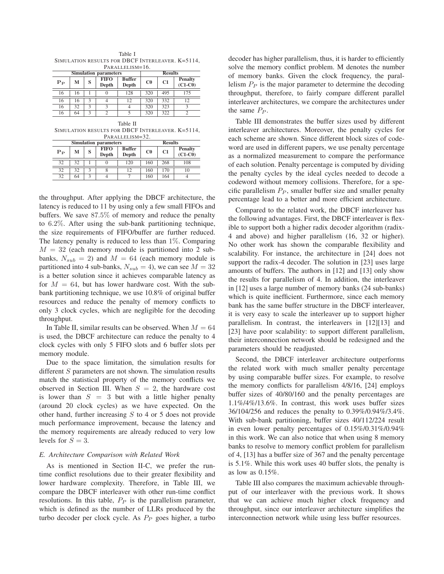Table I SIMULATION RESULTS FOR DBCF INTERLEAVER. K=5114, PARALLELISM=16.

|         | <b>Simulation parameters</b> |   | <b>Results</b>       |                        |             |     |                             |
|---------|------------------------------|---|----------------------|------------------------|-------------|-----|-----------------------------|
| $P_{P}$ | м                            | S | <b>FIFO</b><br>Depth | <b>Buffer</b><br>Depth | $_{\rm C0}$ | C1  | <b>Penalty</b><br>$(C1-C0)$ |
| 16      | 16                           |   |                      | 128                    | 320         | 495 |                             |
| 16      | 16                           |   |                      |                        | 320         | 332 |                             |
| 16      | 32                           | ς |                      |                        | 320         | 323 |                             |
| 16      | 64                           |   |                      |                        | 320         | 322 |                             |

| Table II                                         |
|--------------------------------------------------|
| SIMULATION RESULTS FOR DBCF INTERLEAVER. K=5114, |
| PARALLELISM=32.                                  |

|         | <b>Simulation parameters</b> |   | <b>Results</b>       |                        |             |     |                             |
|---------|------------------------------|---|----------------------|------------------------|-------------|-----|-----------------------------|
| $P_{P}$ | м                            | S | <b>FIFO</b><br>Depth | <b>Buffer</b><br>Depth | $_{\rm C0}$ | C1  | <b>Penalty</b><br>$(C1-C0)$ |
| 32      | 32                           |   |                      | 120                    | 160         | 268 | 108                         |
| 32      | 32                           |   |                      |                        | 160         | 170 | 10                          |
| 32      | 64                           |   |                      |                        | 160         | 164 |                             |

the throughput. After applying the DBCF architecture, the latency is reduced to 11 by using only a few small FIFOs and buffers. We save 87.5% of memory and reduce the penalty to 6.2%. After using the sub-bank partitioning technique, the size requirements of FIFO/buffer are further reduced. The latency penalty is reduced to less than  $1\%$ . Comparing  $M = 32$  (each memory module is partitioned into 2 subbanks,  $N_{sub} = 2$ ) and  $M = 64$  (each memory module is partitioned into 4 sub-banks,  $N_{sub} = 4$ ), we can see  $M = 32$ is a better solution since it achieves comparable latency as for  $M = 64$ , but has lower hardware cost. With the subbank partitioning technique, we use 10.8% of original buffer resources and reduce the penalty of memory conflicts to only 3 clock cycles, which are negligible for the decoding throughput.

In Table II, similar results can be observed. When  $M = 64$ is used, the DBCF architecture can reduce the penalty to 4 clock cycles with only 5 FIFO slots and 6 buffer slots per memory module.

Due to the space limitation, the simulation results for different S parameters are not shown. The simulation results match the statistical property of the memory conflicts we observed in Section III. When  $S = 2$ , the hardware cost is lower than  $S = 3$  but with a little higher penalty (around 20 clock cycles) as we have expected. On the other hand, further increasing  $S$  to 4 or 5 does not provide much performance improvement, because the latency and the memory requirements are already reduced to very low levels for  $S = 3$ .

## *E. Architecture Comparison with Related Work*

As is mentioned in Section II-C, we prefer the runtime conflict resolutions due to their greater flexibility and lower hardware complexity. Therefore, in Table III, we compare the DBCF interleaver with other run-time conflict resolutions. In this table,  $P_P$  is the parallelism parameter, which is defined as the number of LLRs produced by the turbo decoder per clock cycle. As  $P_P$  goes higher, a turbo decoder has higher parallelism, thus, it is harder to efficiently solve the memory conflict problem. M denotes the number of memory banks. Given the clock frequency, the parallelism  $P_P$  is the major parameter to determine the decoding throughput, therefore, to fairly compare different parallel interleaver architectures, we compare the architectures under the same  $P_P$ .

Table III demonstrates the buffer sizes used by different interleaver architectures. Moreover, the penalty cycles for each scheme are shown. Since different block sizes of codeword are used in different papers, we use penalty percentage as a normalized measurement to compare the performance of each solution. Penalty percentage is computed by dividing the penalty cycles by the ideal cycles needed to decode a codeword without memory collisions. Therefore, for a specific parallelism  $P_P$ , smaller buffer size and smaller penalty percentage lead to a better and more efficient architecture.

Compared to the related work, the DBCF interleaver has the following advantages. First, the DBCF interleaver is flexible to support both a higher radix decoder algorithm (radix-4 and above) and higher parallelism (16, 32 or higher). No other work has shown the comparable flexibility and scalability. For instance, the architecture in [24] does not support the radix-4 decoder. The solution in [23] uses large amounts of buffers. The authors in [12] and [13] only show the results for parallelism of 4. In addition, the interleaver in [12] uses a large number of memory banks (24 sub-banks) which is quite inefficient. Furthermore, since each memory bank has the same buffer structure in the DBCF interleaver, it is very easy to scale the interleaver up to support higher parallelism. In contrast, the interleavers in [12][13] and [23] have poor scalability: to support different parallelism, their interconnection network should be redesigned and the parameters should be readjusted.

Second, the DBCF interleaver architecture outperforms the related work with much smaller penalty percentage by using comparable buffer sizes. For example, to resolve the memory conflicts for parallelism 4/8/16, [24] employs buffer sizes of 40/80/160 and the penalty percentages are 1.1%/4%/13.6%. In contrast, this work uses buffer sizes 36/104/256 and reduces the penalty to 0.39%/0.94%/3.4%. With sub-bank partitioning, buffer sizes 40/112/224 result in even lower penalty percentages of 0.15%/0.31%/0.94% in this work. We can also notice that when using 8 memory banks to resolve to memory conflict problem for parallelism of 4, [13] has a buffer size of 367 and the penalty percentage is 5.1%. While this work uses 40 buffer slots, the penalty is as low as 0.15%.

Table III also compares the maximum achievable throughput of our interleaver with the previous work. It shows that we can achieve much higher clock frequency and throughput, since our interleaver architecture simplifies the interconnection network while using less buffer resources.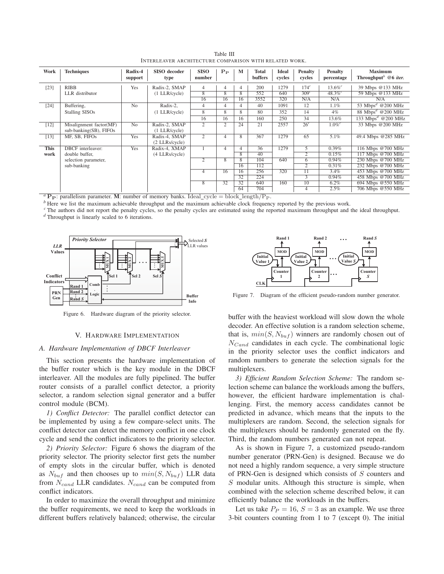| Table III                                              |  |
|--------------------------------------------------------|--|
| INTERLEAVER ARCHITECTURE COMPARISON WITH RELATED WORK. |  |

| Work        | <b>Techniques</b>                                 | Radix-4<br>support | SISO decoder<br>type             | <b>SISO</b><br>number | $P_{\rm P}$    | M              | <b>Total</b><br>buffers | <b>Ideal</b><br>cycles | <b>Penalty</b><br>cycles | <b>Penalty</b><br>percentage | <b>Maximum</b><br>Throughput <sup>b</sup> $@6$ iter. |
|-------------|---------------------------------------------------|--------------------|----------------------------------|-----------------------|----------------|----------------|-------------------------|------------------------|--------------------------|------------------------------|------------------------------------------------------|
| $[23]$      | <b>RIBB</b>                                       | Yes                | Radix-2, SMAP                    | 4                     | 4              | 4              | 200                     | 1279                   | 174 <sup>c</sup>         | $13.6\%$ <sup>c</sup>        | 39 Mbps @133 MHz                                     |
|             | LLR distributor                                   |                    | $(1$ LLR/cycle)                  | 8                     | 8              | 8              | 552                     | 640                    | 309 <sup>c</sup>         | $48.3\%$                     | 59 Mbps @133 MHz                                     |
|             |                                                   |                    |                                  | 16                    | 16             | 16             | 3552                    | 320                    | N/A                      | N/A                          | N/A                                                  |
| $[24]$      | Buffering,                                        | N <sub>o</sub>     | Radix-2,                         | $\overline{4}$        | $\overline{4}$ | 4              | 40                      | 1091                   | 12                       | 1.1%                         | 53 Mbps <sup>d</sup> @200 MHz                        |
|             | <b>Stalling SISOs</b>                             |                    | $(1$ LLR/cycle)                  | 8                     | 8              | 8              | 80                      | 352                    | 14                       | $4\%$                        | 88 Mbps <sup>d</sup> @200 MHz                        |
|             |                                                   |                    |                                  | 16                    | 16             | 16             | 160                     | 250                    | 34                       | 13.6%                        | 133 Mbps <sup>d</sup> @200 MHz                       |
| $[12]$      | Misalignment factor(MF)<br>sub-banking(SB), FIFOs | N <sub>o</sub>     | Radix-2, SMAP<br>$(1$ LLR/cycle) | 2                     | $\overline{2}$ | 24             | 21                      | 2557                   | 26 <sup>c</sup>          | $1.0\%$ <sup>c</sup>         | 33 Mbps @200 MHz                                     |
| [13]        | MF, SB, FIFOs                                     | Yes                | Radix-4, SMAP<br>(2 LLRs/cycle)  | $\overline{2}$        | $\overline{4}$ | 8              | 367                     | 1279                   | 65                       | $5.1\%$                      | 49.4 Mbps @285 MHz                                   |
| <b>This</b> | <b>DBCF</b> interleaver:                          | Yes                | Radix-4, XMAP                    |                       | $\overline{4}$ | 4              | 36                      | 1279                   | 5                        | 0.39%                        | 116 Mbps @700 MHz                                    |
| work        | double buffer.                                    |                    | (4 LLRs/cycle)                   |                       |                | 8              | 40                      |                        | $\overline{2}$           | 0.15%                        | 117 Mbps @700 MHz                                    |
|             | selection parameter,                              |                    |                                  | $\overline{2}$        | 8              | $\overline{8}$ | 104                     | 640                    | 6                        | 0.94%                        | 230 Mbps @700 MHz                                    |
|             | sub-banking                                       |                    |                                  |                       |                | 16             | 112                     |                        | 2                        | 0.31%                        | 232 Mbps @700 MHz                                    |
|             |                                                   |                    |                                  | 4                     | 16             | 16             | 256                     | 320                    | 11                       | $3.4\%$                      | 453 Mbps @700 MHz                                    |
|             |                                                   |                    |                                  |                       |                | 32             | 224                     |                        | 3                        | 0.94%                        | 458 Mbps @700 MHz                                    |
|             |                                                   |                    |                                  | 8                     | 32             | 32             | 640                     | 160                    | $\overline{10}$          | $6.2\%$                      | 694 Mbps @550 MHz                                    |
|             |                                                   |                    |                                  |                       |                | 64             | 704                     |                        | 4                        | 2.5%                         | 706 Mbps @550 MHz                                    |

<sup>*a*</sup> **P**<sub>P</sub>: parallelism parameter. **M**: number of memory banks. Ideal\_cycle = block\_length/P<sub>P</sub>.<br><sup>*b*</sup> Here we list the maximum achievable throughput and the maximum achievable clock frequency reported by the previous w

*<sup>c</sup>* The authors did not report the penalty cycles, so the penalty cycles are estimated using the reported maximum throughput and the ideal throughput. *<sup>d</sup>* Throughput is linearly scaled to 6 iterations.



Figure 6. Hardware diagram of the priority selector.

# V. HARDWARE IMPLEMENTATION

## *A. Hardware Implementation of DBCF Interleaver*

This section presents the hardware implementation of the buffer router which is the key module in the DBCF interleaver. All the modules are fully pipelined. The buffer router consists of a parallel conflict detector, a priority selector, a random selection signal generator and a buffer control module (BCM).

*1) Conflict Detector:* The parallel conflict detector can be implemented by using a few compare-select units. The conflict detector can detect the memory conflict in one clock cycle and send the conflict indicators to the priority selector.

*2) Priority Selector:* Figure 6 shows the diagram of the priority selector. The priority selector first gets the number of empty slots in the circular buffer, which is denoted as  $N_{buf}$  and then chooses up to  $min(S, N_{buf})$  LLR data from  $N_{cand}$  LLR candidates.  $N_{cand}$  can be computed from conflict indicators.

In order to maximize the overall throughput and minimize the buffer requirements, we need to keep the workloads in different buffers relatively balanced; otherwise, the circular



Figure 7. Diagram of the efficient pseudo-random number generator.

buffer with the heaviest workload will slow down the whole decoder. An effective solution is a random selection scheme, that is,  $min(S, N_{buf})$  winners are randomly chosen out of  $N_{Cand}$  candidates in each cycle. The combinational logic in the priority selector uses the conflict indicators and random numbers to generate the selection signals for the multiplexers.

*3) Efficient Random Selection Scheme:* The random selection scheme can balance the workloads among the buffers, however, the efficient hardware implementation is challenging. First, the memory access candidates cannot be predicted in advance, which means that the inputs to the multiplexers are random. Second, the selection signals for the multiplexers should be randomly generated on the fly. Third, the random numbers generated can not repeat.

As is shown in Figure 7, a customized pseudo-random number generator (PRN-Gen) is designed. Because we do not need a highly random sequence, a very simple structure of PRN-Gen is designed which consists of S counters and  $S$  modular units. Although this structure is simple, when combined with the selection scheme described below, it can efficiently balance the workloads in the buffers.

Let us take  $P_P = 16$ ,  $S = 3$  as an example. We use three 3-bit counters counting from 1 to 7 (except 0). The initial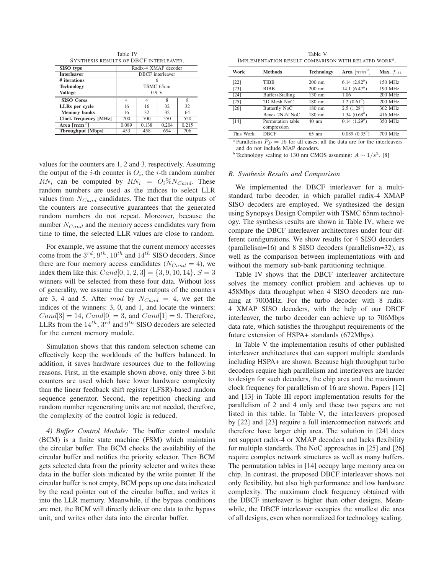Table IV SYNTHESIS RESULTS OF DBCF INTERLEAVER.

| SISO type                              | Radix-4 XMAP decoder     |                         |       |       |  |  |
|----------------------------------------|--------------------------|-------------------------|-------|-------|--|--|
| <b>Interleaver</b>                     |                          | <b>DBCF</b> interleaver |       |       |  |  |
| # iterations                           |                          |                         |       |       |  |  |
| <b>Technology</b>                      | TSMC 65nm                |                         |       |       |  |  |
| <b>Voltage</b>                         | 0.9V                     |                         |       |       |  |  |
| <b>SISO Cores</b>                      | 8<br>8                   |                         |       |       |  |  |
| LLRs per cycle                         | 16                       | 16                      | 32    | 32    |  |  |
| <b>Memory</b> banks                    | 16                       | 32                      | 32    | 64    |  |  |
| <b>Clock frequency [MHz]</b>           | 700                      | 700                     | 550   | 550   |  |  |
| Area $\lceil$ mm <sup>2</sup> $\rceil$ | 0.089                    | 0.138                   | 0.204 | 0.215 |  |  |
| <b>Throughput</b> [Mbps]               | 706<br>694<br>458<br>453 |                         |       |       |  |  |

values for the counters are 1, 2 and 3, respectively. Assuming

Table V IMPLEMENTATION RESULT COMPARISON WITH RELATED WORK*a*.

| Work                                                                                            | <b>Methods</b>    | <b>Technology</b> | Area $\lceil mm^2 \rceil$ | Max. $f_{clk}$ |  |  |  |
|-------------------------------------------------------------------------------------------------|-------------------|-------------------|---------------------------|----------------|--|--|--|
| $[22]$                                                                                          | <b>TIBB</b>       | $200 \text{ nm}$  | 6.14 $(2.82^b)$           | $150$ MHz      |  |  |  |
| $[23]$                                                                                          | <b>RIBB</b>       | $200 \text{ nm}$  | 14.1 $(6.47^b)$           | 190 MHz        |  |  |  |
| [24]                                                                                            | Buffer+Stalling   | $130 \text{ nm}$  | 1.06                      | 200 MHz        |  |  |  |
| [25]                                                                                            | 2D Mesh NoC       | $180$ nm          | 1.2 $(0.61^b)$            | 200 MHz        |  |  |  |
| $[26]$                                                                                          | Butterfly NoC     | $180$ nm          | 2.5 $(1.28^b)$            | 302 MHz        |  |  |  |
|                                                                                                 | Benes 2N-N NoC    | $180$ nm          | 1.34 $(0.68^b)$           | 416 MHz        |  |  |  |
| [14]                                                                                            | Permutation table | $40 \text{ nm}$   | 0.14(1.29 <sup>b</sup> )  | 350 MHz        |  |  |  |
|                                                                                                 | compression       |                   |                           |                |  |  |  |
| This Work                                                                                       | <b>DBCF</b>       | $65 \text{ nm}$   | $0.089(0.35^b)$           | 700 MHz        |  |  |  |
| <sup><i>a</i></sup> Parallelism $P_P = 16$ for all cases; all the data are for the interleavers |                   |                   |                           |                |  |  |  |

and do not include MAP decoders.

*b* Technology scaling to 130 nm CMOS assuming:  $A \sim 1/s^2$ . [8]

## *B. Synthesis Results and Comparison*

the output of the *i*-th counter is  $O_i$ , the *i*-th random number  $RN_i$  can be computed by  $RN_i = O_i\%N_{Cand}$ . These random numbers are used as the indices to select LLR values from  $N_{Cand}$  candidates. The fact that the outputs of the counters are consecutive guarantees that the generated random numbers do not repeat. Moreover, because the number  $N_{Cand}$  and the memory access candidates vary from time to time, the selected LLR values are close to random.

For example, we assume that the current memory accesses come from the  $3^{rd}$ ,  $9^{th}$ ,  $10^{th}$  and  $14^{th}$  SISO decoders. Since there are four memory access candidates ( $N_{Cand} = 4$ ), we index them like this:  $Cand[0, 1, 2, 3] = \{3, 9, 10, 14\}$ .  $S = 3$ winners will be selected from these four data. Without loss of generality, we assume the current outputs of the counters are 3, 4 and 5. After mod by  $N_{Cand} = 4$ , we get the indices of the winners: 3, 0, and 1, and locate the winners:  $Cand[3] = 14, Cand[0] = 3, and Cand[1] = 9. Therefore,$ LLRs from the  $14^{th}$ ,  $3^{rd}$  and  $9^{th}$  SISO decoders are selected for the current memory module.

Simulation shows that this random selection scheme can effectively keep the workloads of the buffers balanced. In addition, it saves hardware resources due to the following reasons. First, in the example shown above, only three 3-bit counters are used which have lower hardware complexity than the linear feedback shift register (LFSR)-based random sequence generator. Second, the repetition checking and random number regenerating units are not needed, therefore, the complexity of the control logic is reduced.

*4) Buffer Control Module:* The buffer control module (BCM) is a finite state machine (FSM) which maintains the circular buffer. The BCM checks the availability of the circular buffer and notifies the priority selector. Then BCM gets selected data from the priority selector and writes these data in the buffer slots indicated by the write pointer. If the circular buffer is not empty, BCM pops up one data indicated by the read pointer out of the circular buffer, and writes it into the LLR memory. Meanwhile, if the bypass conditions are met, the BCM will directly deliver one data to the bypass unit, and writes other data into the circular buffer.

We implemented the DBCF interleaver for a multistandard turbo decoder, in which parallel radix-4 XMAP SISO decoders are employed. We synthesized the design using Synopsys Design Compiler with TSMC 65nm technology. The synthesis results are shown in Table IV, where we compare the DBCF interleaver architectures under four different configurations. We show results for 4 SISO decoders (parallelism=16) and 8 SISO decoders (parallelism=32), as well as the comparison between implementations with and without the memory sub-bank partitioning technique.

Table IV shows that the DBCF interleaver architecture solves the memory conflict problem and achieves up to 458Mbps data throughput when 4 SISO decoders are running at 700MHz. For the turbo decoder with 8 radix-4 XMAP SISO decoders, with the help of our DBCF interleaver, the turbo decoder can achieve up to 706Mbps data rate, which satisfies the throughput requirements of the future extension of HSPA+ standards (672Mbps).

In Table V the implementation results of other published interleaver architectures that can support multiple standards including HSPA+ are shown. Because high throughput turbo decoders require high parallelism and interleavers are harder to design for such decoders, the chip area and the maximum clock frequency for parallelism of 16 are shown. Papers [12] and [13] in Table III report implementation results for the parallelism of 2 and 4 only and these two papers are not listed in this table. In Table V, the interleavers proposed by [22] and [23] require a full interconnection network and therefore have larger chip area. The solution in [24] does not support radix-4 or XMAP decoders and lacks flexibility for multiple standards. The NoC approaches in [25] and [26] require complex network structures as well as many buffers. The permutation tables in [14] occupy large memory area on chip. In contrast, the proposed DBCF interleaver shows not only flexibility, but also high performance and low hardware complexity. The maximum clock frequency obtained with the DBCF interleaver is higher than other designs. Meanwhile, the DBCF interleaver occupies the smallest die area of all designs, even when normalized for technology scaling.